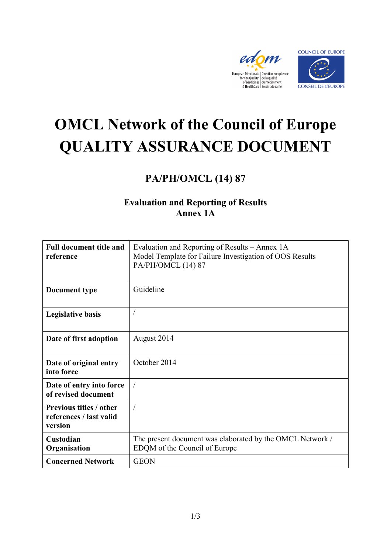



# **OMCL Network of the Council of Europe QUALITY ASSURANCE DOCUMENT**

## **PA/PH/OMCL (14) 87**

### **Evaluation and Reporting of Results Annex 1A**

| <b>Full document title and</b><br>reference                          | Evaluation and Reporting of Results – Annex 1A<br>Model Template for Failure Investigation of OOS Results<br>PA/PH/OMCL (14) 87 |
|----------------------------------------------------------------------|---------------------------------------------------------------------------------------------------------------------------------|
| Document type                                                        | Guideline                                                                                                                       |
| <b>Legislative basis</b>                                             |                                                                                                                                 |
| Date of first adoption                                               | August 2014                                                                                                                     |
| Date of original entry<br>into force                                 | October 2014                                                                                                                    |
| Date of entry into force<br>of revised document                      |                                                                                                                                 |
| <b>Previous titles / other</b><br>references / last valid<br>version | $\sqrt{2}$                                                                                                                      |
| Custodian<br>Organisation                                            | The present document was elaborated by the OMCL Network /<br>EDQM of the Council of Europe                                      |
| <b>Concerned Network</b>                                             | <b>GEON</b>                                                                                                                     |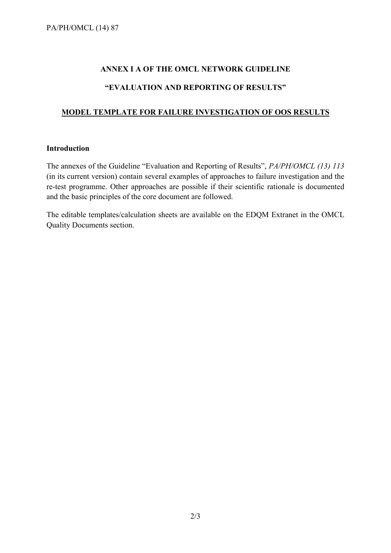#### **ANNEX I A OF THE OMCL NETWORK GUIDELINE**

#### **"EVALUATION AND REPORTING OF RESULTS"**

#### **MODEL TEMPLATE FOR FAILURE INVESTIGATION OF OOS RESULTS**

#### **Introduction**

The annexes of the Guideline "Evaluation and Reporting of Results", *PA/PH/OMCL (13) 113*  (in its current version) contain several examples of approaches to failure investigation and the re-test programme. Other approaches are possible if their scientific rationale is documented and the basic principles of the core document are followed.

The editable templates/calculation sheets are available on the EDQM Extranet in the OMCL Quality Documents section.